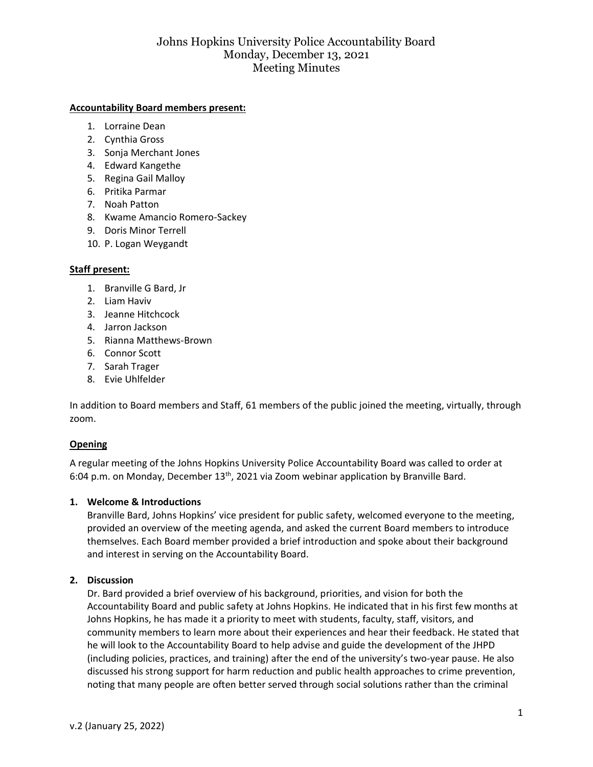#### **Accountability Board members present:**

- 1. Lorraine Dean
- 2. Cynthia Gross
- 3. Sonja Merchant Jones
- 4. Edward Kangethe
- 5. Regina Gail Malloy
- 6. Pritika Parmar
- 7. Noah Patton
- 8. Kwame Amancio Romero-Sackey
- 9. Doris Minor Terrell
- 10. P. Logan Weygandt

# **Staff present:**

- 1. Branville G Bard, Jr
- 2. Liam Haviv
- 3. Jeanne Hitchcock
- 4. Jarron Jackson
- 5. Rianna Matthews-Brown
- 6. Connor Scott
- 7. Sarah Trager
- 8. Evie Uhlfelder

In addition to Board members and Staff, 61 members of the public joined the meeting, virtually, through zoom.

# **Opening**

A regular meeting of the Johns Hopkins University Police Accountability Board was called to order at 6:04 p.m. on Monday, December 13<sup>th</sup>, 2021 via Zoom webinar application by Branville Bard.

# **1. Welcome & Introductions**

Branville Bard, Johns Hopkins' vice president for public safety, welcomed everyone to the meeting, provided an overview of the meeting agenda, and asked the current Board members to introduce themselves. Each Board member provided a brief introduction and spoke about their background and interest in serving on the Accountability Board.

# **2. Discussion**

Dr. Bard provided a brief overview of his background, priorities, and vision for both the Accountability Board and public safety at Johns Hopkins. He indicated that in his first few months at Johns Hopkins, he has made it a priority to meet with students, faculty, staff, visitors, and community members to learn more about their experiences and hear their feedback. He stated that he will look to the Accountability Board to help advise and guide the development of the JHPD (including policies, practices, and training) after the end of the university's two-year pause. He also discussed his strong support for harm reduction and public health approaches to crime prevention, noting that many people are often better served through social solutions rather than the criminal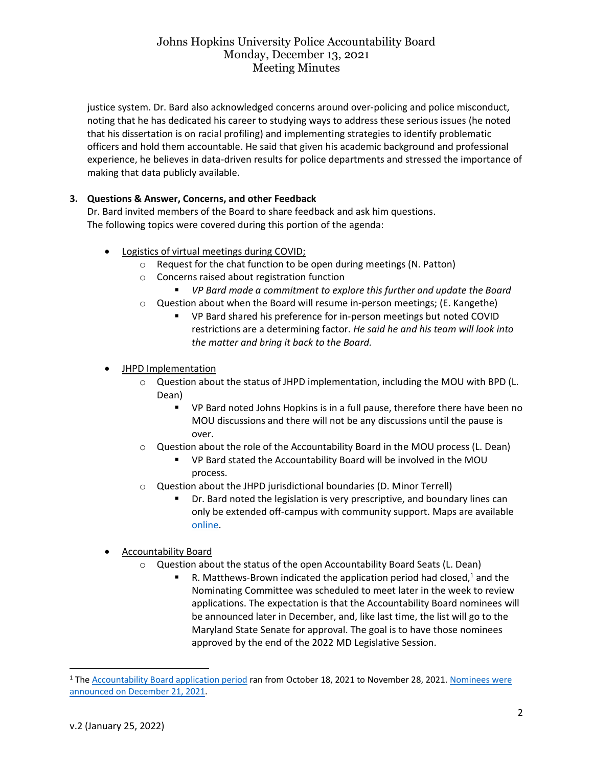justice system. Dr. Bard also acknowledged concerns around over-policing and police misconduct, noting that he has dedicated his career to studying ways to address these serious issues (he noted that his dissertation is on racial profiling) and implementing strategies to identify problematic officers and hold them accountable. He said that given his academic background and professional experience, he believes in data-driven results for police departments and stressed the importance of making that data publicly available.

# **3. Questions & Answer, Concerns, and other Feedback**

Dr. Bard invited members of the Board to share feedback and ask him questions. The following topics were covered during this portion of the agenda:

- Logistics of virtual meetings during COVID;
	- o Request for the chat function to be open during meetings (N. Patton)
	- o Concerns raised about registration function
		- *VP Bard made a commitment to explore this further and update the Board*
	- o Question about when the Board will resume in-person meetings; (E. Kangethe)
		- VP Bard shared his preference for in-person meetings but noted COVID restrictions are a determining factor. *He said he and his team will look into the matter and bring it back to the Board.*
- JHPD Implementation
	- $\circ$  Question about the status of JHPD implementation, including the MOU with BPD (L. Dean)
		- VP Bard noted Johns Hopkins is in a full pause, therefore there have been no MOU discussions and there will not be any discussions until the pause is over.
	- o Question about the role of the Accountability Board in the MOU process (L. Dean)
		- VP Bard stated the Accountability Board will be involved in the MOU process.
	- o Question about the JHPD jurisdictional boundaries (D. Minor Terrell)
		- Dr. Bard noted the legislation is very prescriptive, and boundary lines can only be extended off-campus with community support. Maps are available [online.](file:///C:/Users/rmatth21/AppData/Local/Microsoft/Windows/INetCache/Content.Outlook/2H9TVJXA/%09https:/publicsafety.jhu.edu/jhpd-information/2019-legislation-and-resources/)
- Accountability Board
	- o Question about the status of the open Accountability Board Seats (L. Dean)
		- R. Matthews-Brown indicated the application period had closed, $1$  and the Nominating Committee was scheduled to meet later in the week to review applications. The expectation is that the Accountability Board nominees will be announced later in December, and, like last time, the list will go to the Maryland State Senate for approval. The goal is to have those nominees approved by the end of the 2022 MD Legislative Session.

<sup>1</sup> The [Accountability Board application period](https://publicsafety.jhu.edu/jhpd-information/accountability-board/application-and-appointment-process/) ran from October 18, 2021 to November 28, 2021[. Nominees were](https://hub.jhu.edu/2021/12/21/police-accountability-board-new-members/)  [announced on December 21, 2021.](https://hub.jhu.edu/2021/12/21/police-accountability-board-new-members/)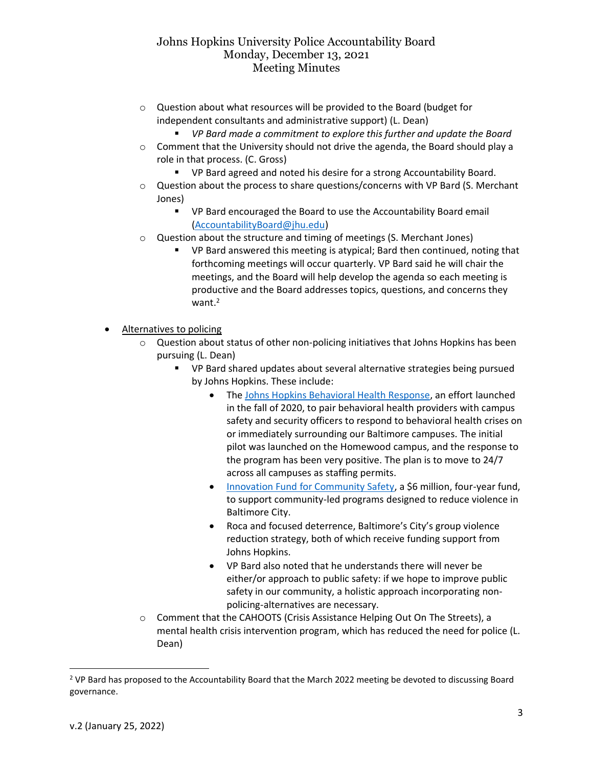- o Question about what resources will be provided to the Board (budget for independent consultants and administrative support) (L. Dean)
	- *VP Bard made a commitment to explore this further and update the Board*
- $\circ$  Comment that the University should not drive the agenda, the Board should play a role in that process. (C. Gross)
	- VP Bard agreed and noted his desire for a strong Accountability Board.
- $\circ$  Question about the process to share questions/concerns with VP Bard (S. Merchant Jones)
	- VP Bard encouraged the Board to use the Accountability Board email [\(AccountabilityBoard@jhu.edu\)](mailto:AccountabilityBoard@jhu.edu)
- o Question about the structure and timing of meetings (S. Merchant Jones)
	- VP Bard answered this meeting is atypical; Bard then continued, noting that forthcoming meetings will occur quarterly. VP Bard said he will chair the meetings, and the Board will help develop the agenda so each meeting is productive and the Board addresses topics, questions, and concerns they want.<sup>2</sup>
- Alternatives to policing
	- $\circ$  Question about status of other non-policing initiatives that Johns Hopkins has been pursuing (L. Dean)
		- VP Bard shared updates about several alternative strategies being pursued by Johns Hopkins. These include:
			- The [Johns Hopkins Behavioral Health Response,](https://publicsafety.jhu.edu/behavioral-health-crisis-support-team/) an effort launched in the fall of 2020, to pair behavioral health providers with campus safety and security officers to respond to behavioral health crises on or immediately surrounding our Baltimore campuses. The initial pilot was launched on the Homewood campus, and the response to the program has been very positive. The plan is to move to 24/7 across all campuses as staffing permits.
			- [Innovation Fund for Community Safety,](https://www.jhu.edu/jhu-innovation-fund-for-community-safety/) a \$6 million, four-year fund, to support community-led programs designed to reduce violence in Baltimore City.
			- Roca and focused deterrence, Baltimore's City's group violence reduction strategy, both of which receive funding support from Johns Hopkins.
			- VP Bard also noted that he understands there will never be either/or approach to public safety: if we hope to improve public safety in our community, a holistic approach incorporating nonpolicing-alternatives are necessary.
	- o Comment that the CAHOOTS (Crisis Assistance Helping Out On The Streets), a mental health crisis intervention program, which has reduced the need for police (L. Dean)

<sup>2</sup> VP Bard has proposed to the Accountability Board that the March 2022 meeting be devoted to discussing Board governance.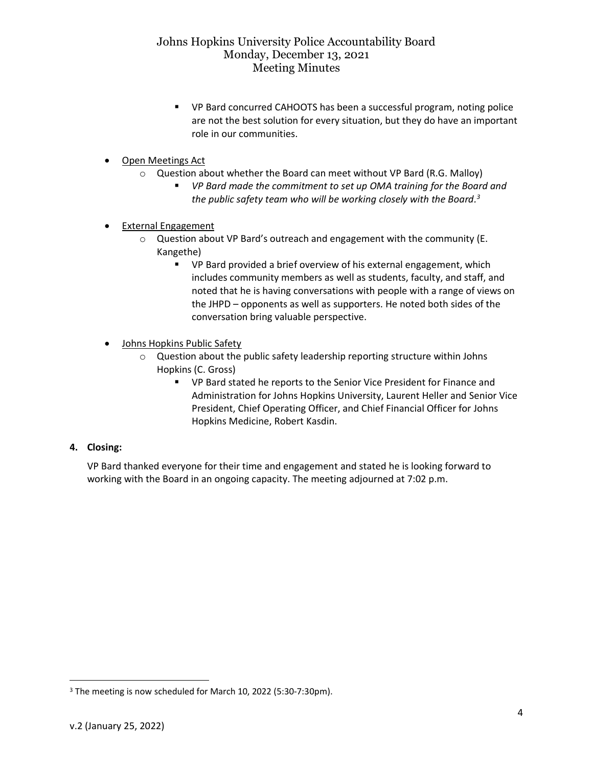- VP Bard concurred CAHOOTS has been a successful program, noting police are not the best solution for every situation, but they do have an important role in our communities.
- Open Meetings Act
	- $\circ$  Question about whether the Board can meet without VP Bard (R.G. Malloy)
		- *VP Bard made the commitment to set up OMA training for the Board and the public safety team who will be working closely with the Board. 3*
- External Engagement
	- o Question about VP Bard's outreach and engagement with the community (E. Kangethe)
		- VP Bard provided a brief overview of his external engagement, which includes community members as well as students, faculty, and staff, and noted that he is having conversations with people with a range of views on the JHPD – opponents as well as supporters. He noted both sides of the conversation bring valuable perspective.
- Johns Hopkins Public Safety
	- o Question about the public safety leadership reporting structure within Johns Hopkins (C. Gross)
		- VP Bard stated he reports to the Senior Vice President for Finance and Administration for Johns Hopkins University, Laurent Heller and Senior Vice President, Chief Operating Officer, and Chief Financial Officer for Johns Hopkins Medicine, Robert Kasdin.

# **4. Closing:**

VP Bard thanked everyone for their time and engagement and stated he is looking forward to working with the Board in an ongoing capacity. The meeting adjourned at 7:02 p.m.

<sup>3</sup> The meeting is now scheduled for March 10, 2022 (5:30-7:30pm).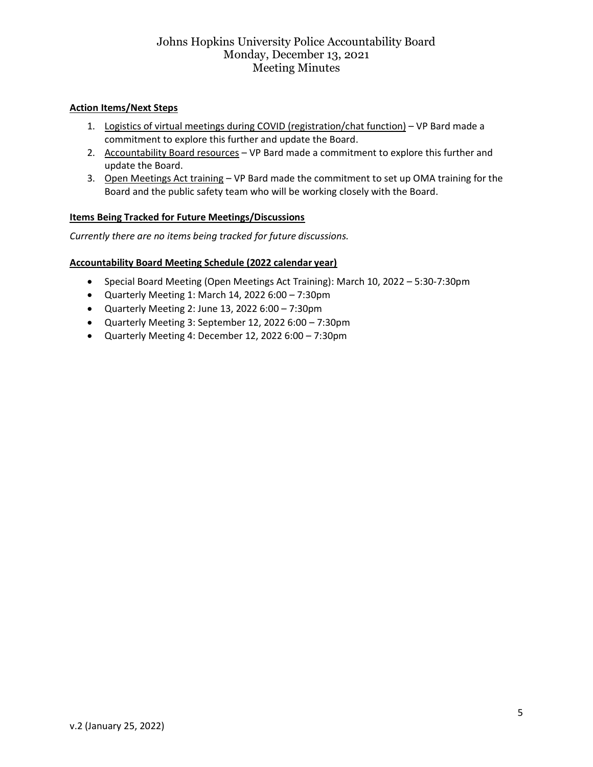# **Action Items/Next Steps**

- 1. Logistics of virtual meetings during COVID (registration/chat function) VP Bard made a commitment to explore this further and update the Board.
- 2. Accountability Board resources VP Bard made a commitment to explore this further and update the Board.
- 3. Open Meetings Act training VP Bard made the commitment to set up OMA training for the Board and the public safety team who will be working closely with the Board.

#### **Items Being Tracked for Future Meetings/Discussions**

*Currently there are no items being tracked for future discussions.*

#### **Accountability Board Meeting Schedule (2022 calendar year)**

- Special Board Meeting (Open Meetings Act Training): March 10, 2022 5:30-7:30pm
- Quarterly Meeting 1: March 14, 2022 6:00 7:30pm
- Quarterly Meeting 2: June 13, 2022 6:00 7:30pm
- Quarterly Meeting 3: September 12, 2022 6:00 7:30pm
- Quarterly Meeting 4: December 12, 2022 6:00 7:30pm